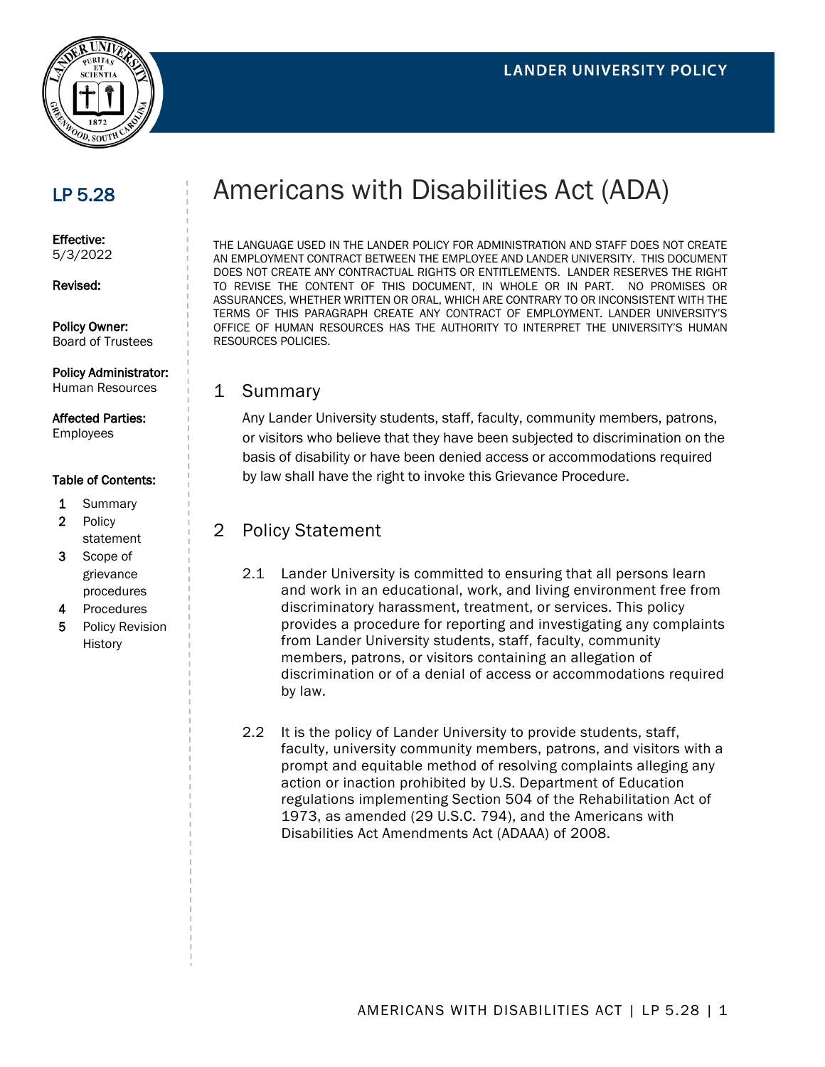

# LP 5.28

Effective: 5/3/2022

#### Revised:

Policy Owner: Board of Trustees

## Policy Administrator:

Human Resources

# Affected Parties:

Employees

#### Table of Contents:

- 1 Summary
- 2 Policy statement
- 3 Scope of grievance procedures
- 4 Procedures
- 5 Policy Revision History

# Americans with Disabilities Act (ADA)

THE LANGUAGE USED IN THE LANDER POLICY FOR ADMINISTRATION AND STAFF DOES NOT CREATE AN EMPLOYMENT CONTRACT BETWEEN THE EMPLOYEE AND LANDER UNIVERSITY. THIS DOCUMENT DOES NOT CREATE ANY CONTRACTUAL RIGHTS OR ENTITLEMENTS. LANDER RESERVES THE RIGHT TO REVISE THE CONTENT OF THIS DOCUMENT, IN WHOLE OR IN PART. NO PROMISES OR ASSURANCES, WHETHER WRITTEN OR ORAL, WHICH ARE CONTRARY TO OR INCONSISTENT WITH THE TERMS OF THIS PARAGRAPH CREATE ANY CONTRACT OF EMPLOYMENT. LANDER UNIVERSITY'S OFFICE OF HUMAN RESOURCES HAS THE AUTHORITY TO INTERPRET THE UNIVERSITY'S HUMAN RESOURCES POLICIES.

## 1 Summary

Any Lander University students, staff, faculty, community members, patrons, or visitors who believe that they have been subjected to discrimination on the basis of disability or have been denied access or accommodations required by law shall have the right to invoke this Grievance Procedure.

# 2 Policy Statement

- 2.1 Lander University is committed to ensuring that all persons learn and work in an educational, work, and living environment free from discriminatory harassment, treatment, or services. This policy provides a procedure for reporting and investigating any complaints from Lander University students, staff, faculty, community members, patrons, or visitors containing an allegation of discrimination or of a denial of access or accommodations required by law.
- 2.2 It is the policy of Lander University to provide students, staff, faculty, university community members, patrons, and visitors with a prompt and equitable method of resolving complaints alleging any action or inaction prohibited by U.S. Department of Education regulations implementing Section 504 of the Rehabilitation Act of 1973, as amended (29 U.S.C. 794), and the Americans with Disabilities Act Amendments Act (ADAAA) of 2008.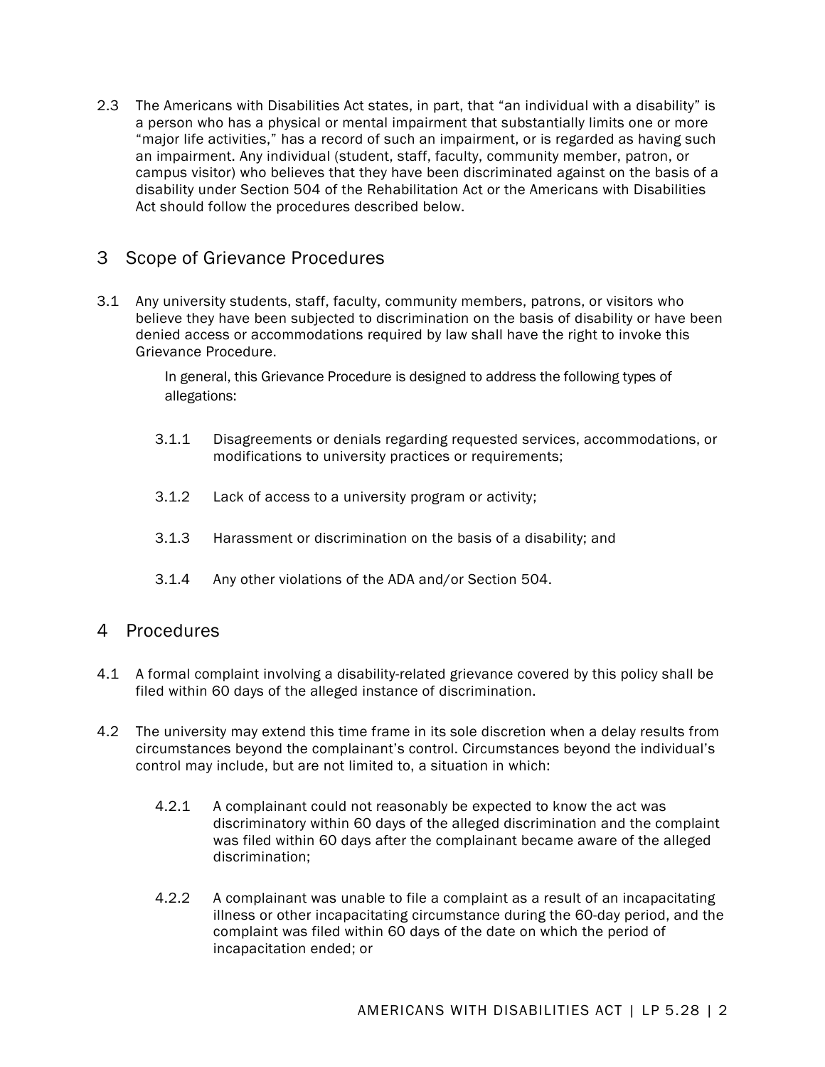2.3 The Americans with Disabilities Act states, in part, that "an individual with a disability" is a person who has a physical or mental impairment that substantially limits one or more "major life activities," has a record of such an impairment, or is regarded as having such an impairment. Any individual (student, staff, faculty, community member, patron, or campus visitor) who believes that they have been discriminated against on the basis of a disability under Section 504 of the Rehabilitation Act or the Americans with Disabilities Act should follow the procedures described below.

## 3 Scope of Grievance Procedures

3.1 Any university students, staff, faculty, community members, patrons, or visitors who believe they have been subjected to discrimination on the basis of disability or have been denied access or accommodations required by law shall have the right to invoke this Grievance Procedure.

> In general, this Grievance Procedure is designed to address the following types of allegations:

- 3.1.1 Disagreements or denials regarding requested services, accommodations, or modifications to university practices or requirements;
- 3.1.2 Lack of access to a university program or activity;
- 3.1.3 Harassment or discrimination on the basis of a disability; and
- 3.1.4 Any other violations of the ADA and/or Section 504.

## 4 Procedures

- 4.1 A formal complaint involving a disability-related grievance covered by this policy shall be filed within 60 days of the alleged instance of discrimination.
- 4.2 The university may extend this time frame in its sole discretion when a delay results from circumstances beyond the complainant's control. Circumstances beyond the individual's control may include, but are not limited to, a situation in which:
	- 4.2.1 A complainant could not reasonably be expected to know the act was discriminatory within 60 days of the alleged discrimination and the complaint was filed within 60 days after the complainant became aware of the alleged discrimination;
	- 4.2.2 A complainant was unable to file a complaint as a result of an incapacitating illness or other incapacitating circumstance during the 60-day period, and the complaint was filed within 60 days of the date on which the period of incapacitation ended; or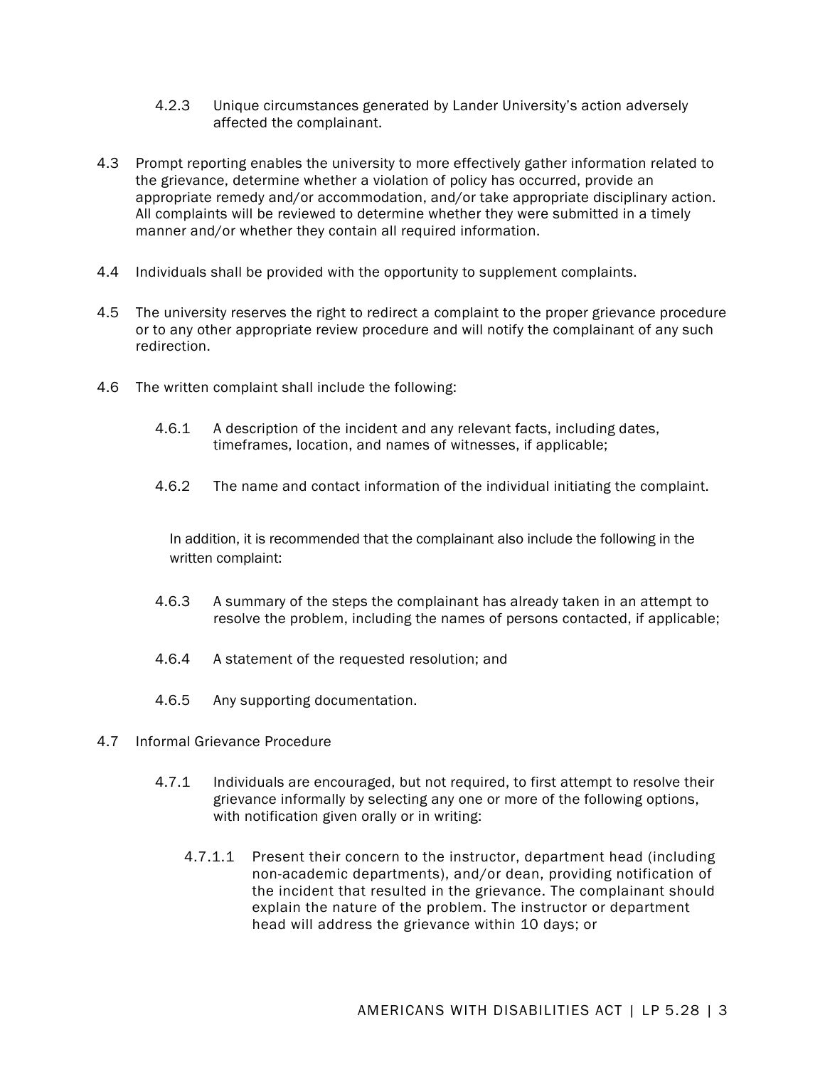- 4.2.3 Unique circumstances generated by Lander University's action adversely affected the complainant.
- 4.3 Prompt reporting enables the university to more effectively gather information related to the grievance, determine whether a violation of policy has occurred, provide an appropriate remedy and/or accommodation, and/or take appropriate disciplinary action. All complaints will be reviewed to determine whether they were submitted in a timely manner and/or whether they contain all required information.
- 4.4 Individuals shall be provided with the opportunity to supplement complaints.
- 4.5 The university reserves the right to redirect a complaint to the proper grievance procedure or to any other appropriate review procedure and will notify the complainant of any such redirection.
- 4.6 The written complaint shall include the following:
	- 4.6.1 A description of the incident and any relevant facts, including dates, timeframes, location, and names of witnesses, if applicable;
	- 4.6.2 The name and contact information of the individual initiating the complaint.

In addition, it is recommended that the complainant also include the following in the written complaint:

- 4.6.3 A summary of the steps the complainant has already taken in an attempt to resolve the problem, including the names of persons contacted, if applicable;
- 4.6.4 A statement of the requested resolution; and
- 4.6.5 Any supporting documentation.
- 4.7 Informal Grievance Procedure
	- 4.7.1 Individuals are encouraged, but not required, to first attempt to resolve their grievance informally by selecting any one or more of the following options, with notification given orally or in writing:
		- 4.7.1.1 Present their concern to the instructor, department head (including non-academic departments), and/or dean, providing notification of the incident that resulted in the grievance. The complainant should explain the nature of the problem. The instructor or department head will address the grievance within 10 days; or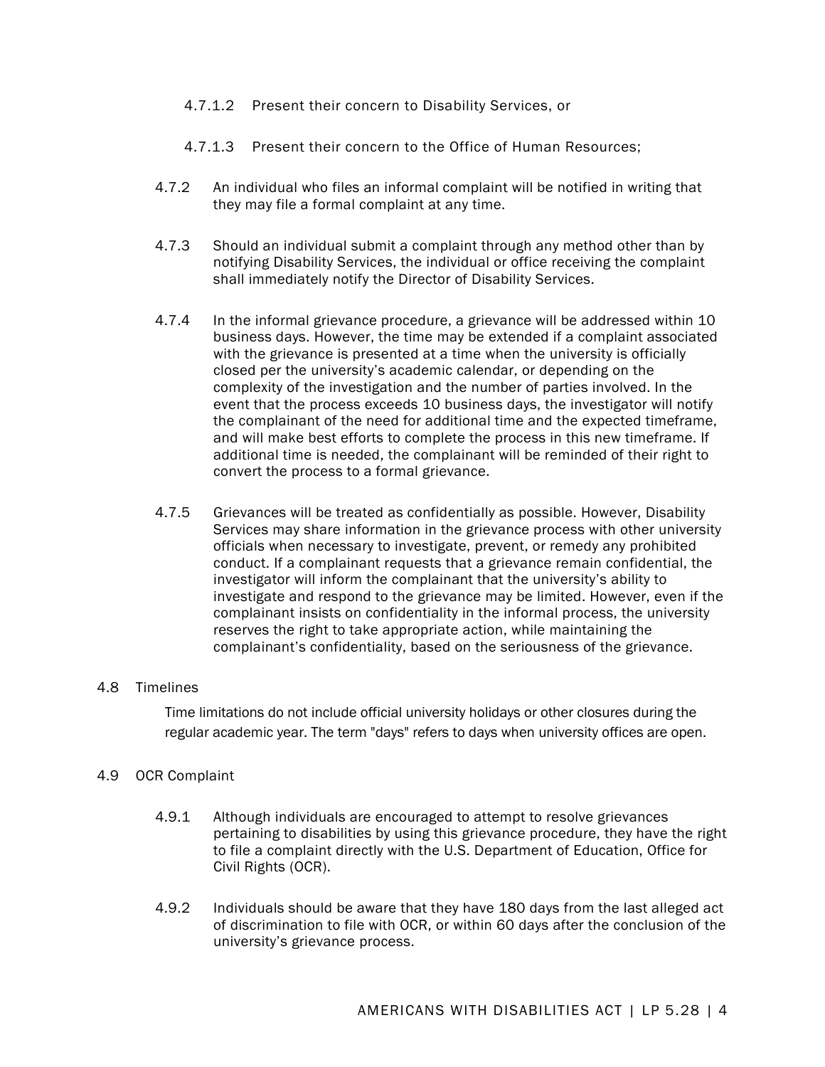- 4.7.1.2 Present their concern to Disability Services, or
- 4.7.1.3 Present their concern to the Office of Human Resources;
- 4.7.2 An individual who files an informal complaint will be notified in writing that they may file a formal complaint at any time.
- 4.7.3 Should an individual submit a complaint through any method other than by notifying Disability Services, the individual or office receiving the complaint shall immediately notify the Director of Disability Services.
- 4.7.4 In the informal grievance procedure, a grievance will be addressed within 10 business days. However, the time may be extended if a complaint associated with the grievance is presented at a time when the university is officially closed per the university's academic calendar, or depending on the complexity of the investigation and the number of parties involved. In the event that the process exceeds 10 business days, the investigator will notify the complainant of the need for additional time and the expected timeframe, and will make best efforts to complete the process in this new timeframe. If additional time is needed, the complainant will be reminded of their right to convert the process to a formal grievance.
- 4.7.5 Grievances will be treated as confidentially as possible. However, Disability Services may share information in the grievance process with other university officials when necessary to investigate, prevent, or remedy any prohibited conduct. If a complainant requests that a grievance remain confidential, the investigator will inform the complainant that the university's ability to investigate and respond to the grievance may be limited. However, even if the complainant insists on confidentiality in the informal process, the university reserves the right to take appropriate action, while maintaining the complainant's confidentiality, based on the seriousness of the grievance.

#### 4.8 Timelines

Time limitations do not include official university holidays or other closures during the regular academic year. The term "days" refers to days when university offices are open.

#### 4.9 OCR Complaint

- 4.9.1 Although individuals are encouraged to attempt to resolve grievances pertaining to disabilities by using this grievance procedure, they have the right to file a complaint directly with the U.S. Department of Education, Office for Civil Rights (OCR).
- 4.9.2 Individuals should be aware that they have 180 days from the last alleged act of discrimination to file with OCR, or within 60 days after the conclusion of the university's grievance process.